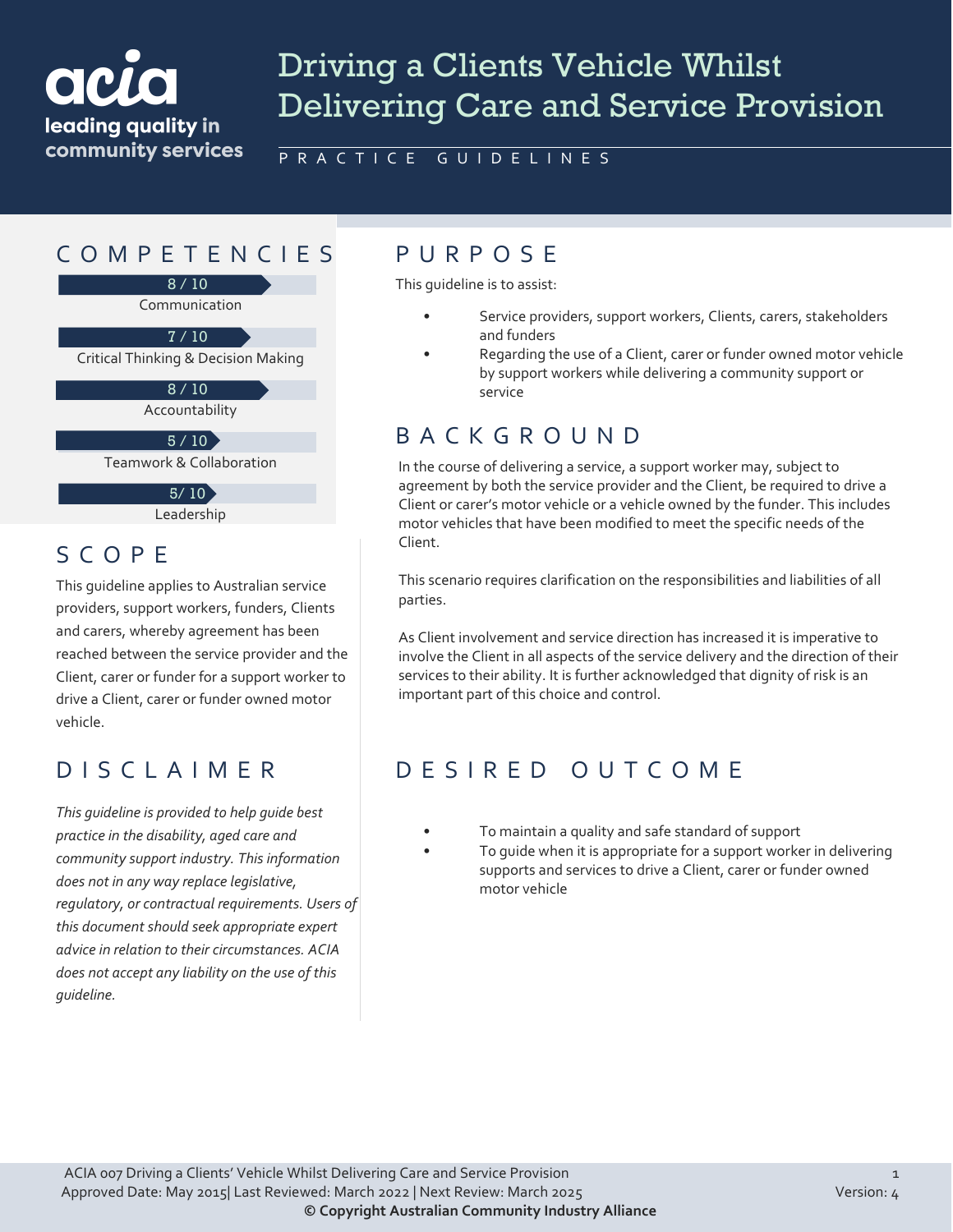# acr leading quality in community services

# Driving a Clients Vehicle Whilst Delivering Care and Service Provision

PRACTICE GUIDELINES

## COMPETENCIES PURPOS E

8 / 10

Communication

7 / 10

Critical Thinking & Decision Making

 $8/10$ 

Accountability

 $5 / 10$ 

Teamwork & Collaboration

 $5/10$ 

Leadership

#### SCOPE

This guideline applies to Australian service providers, support workers, funders, Clients and carers, whereby agreement has been reached between the service provider and the Client, carer or funder for a support worker to drive a Client, carer or funder owned motor vehicle.

### DISCLAIMER

*This guideline is provided to help guide best practice in the disability, aged care and community support industry. This information does not in any way replace legislative, regulatory, or contractual requirements. Users of this document should seek appropriate expert advice in relation to their circumstances. ACIA does not accept any liability on the use of this guideline.*

This guideline is to assist:

- Service providers, support workers, Clients, carers, stakeholders and funders
- Regarding the use of a Client, carer or funder owned motor vehicle by support workers while delivering a community support or service

#### BACKGROUND

In the course of delivering a service, a support worker may, subject to agreement by both the service provider and the Client, be required to drive a Client or carer's motor vehicle or a vehicle owned by the funder. This includes motor vehicles that have been modified to meet the specific needs of the Client.

This scenario requires clarification on the responsibilities and liabilities of all parties.

As Client involvement and service direction has increased it is imperative to involve the Client in all aspects of the service delivery and the direction of their services to their ability. It is further acknowledged that dignity of risk is an important part of this choice and control.

#### DESIRED OUTCOME

- To maintain a quality and safe standard of support
- To quide when it is appropriate for a support worker in delivering supports and services to drive a Client, carer or funder owned motor vehicle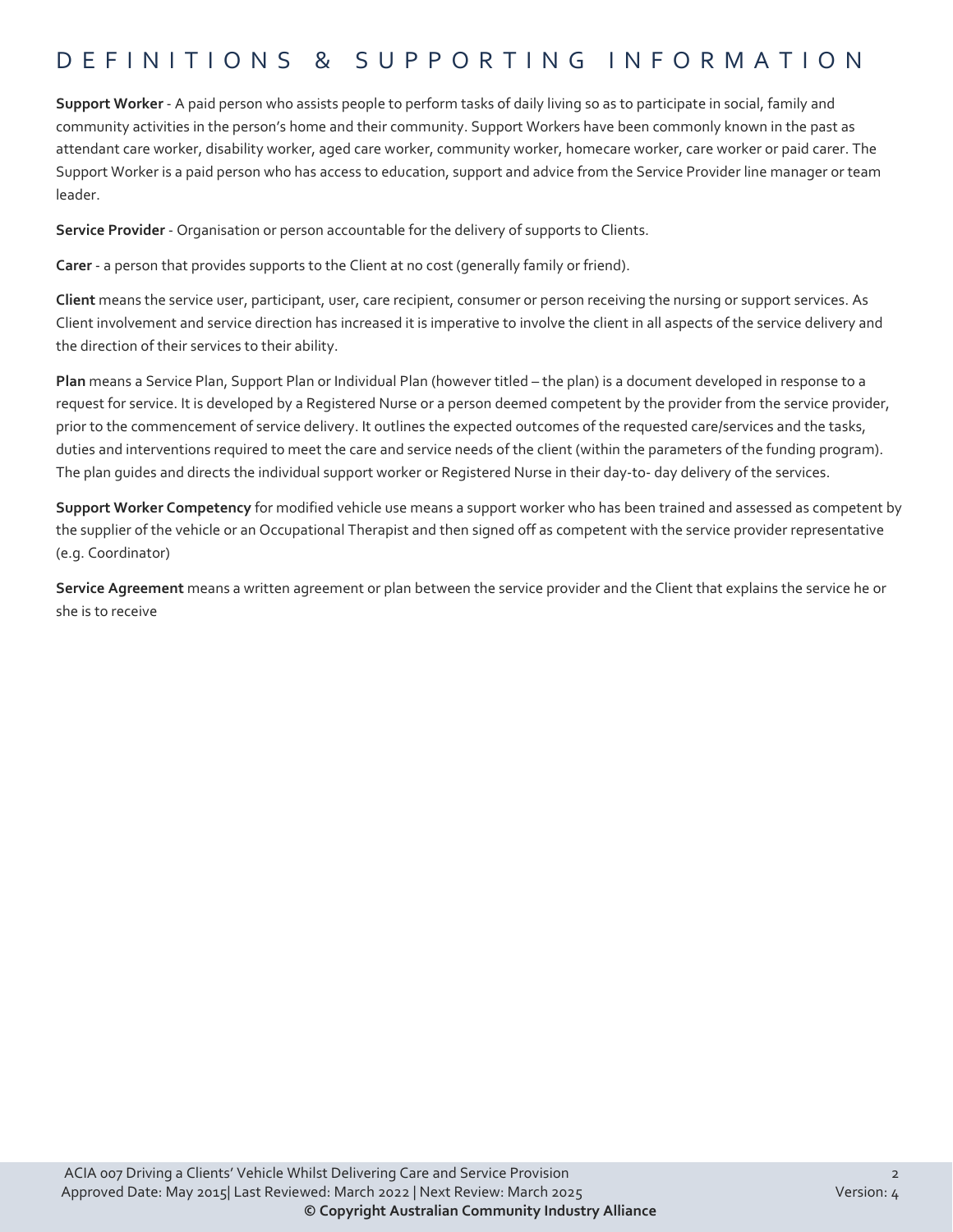### DEFINITIONS & SUPPORTING INFORMATIO N

**Support Worker** - A paid person who assists people to perform tasks of daily living so as to participate in social, family and community activities in the person's home and their community. Support Workers have been commonly known in the past as attendant care worker, disability worker, aged care worker, community worker, homecare worker, care worker or paid carer. The Support Worker is a paid person who has access to education, support and advice from the Service Provider line manager or team leader.

**Service Provider** - Organisation or person accountable for the delivery of supports to Clients.

**Carer** - a person that provides supports to the Client at no cost (generally family or friend).

**Client** means the service user, participant, user, care recipient, consumer or person receiving the nursing or support services. As Client involvement and service direction has increased it is imperative to involve the client in all aspects of the service delivery and the direction of their services to their ability.

**Plan** means a Service Plan, Support Plan or Individual Plan (however titled – the plan) is a document developed in response to a request for service. It is developed by a Registered Nurse or a person deemed competent by the provider from the service provider, prior to the commencement of service delivery. It outlines the expected outcomes of the requested care/services and the tasks, duties and interventions required to meet the care and service needs of the client (within the parameters of the funding program). The plan guides and directs the individual support worker or Registered Nurse in their day-to- day delivery of the services.

**Support Worker Competency** for modified vehicle use means a support worker who has been trained and assessed as competent by the supplier of the vehicle or an Occupational Therapist and then signed off as competent with the service provider representative (e.g. Coordinator)

**Service Agreement** means a written agreement or plan between the service provider and the Client that explains the service he or she is to receive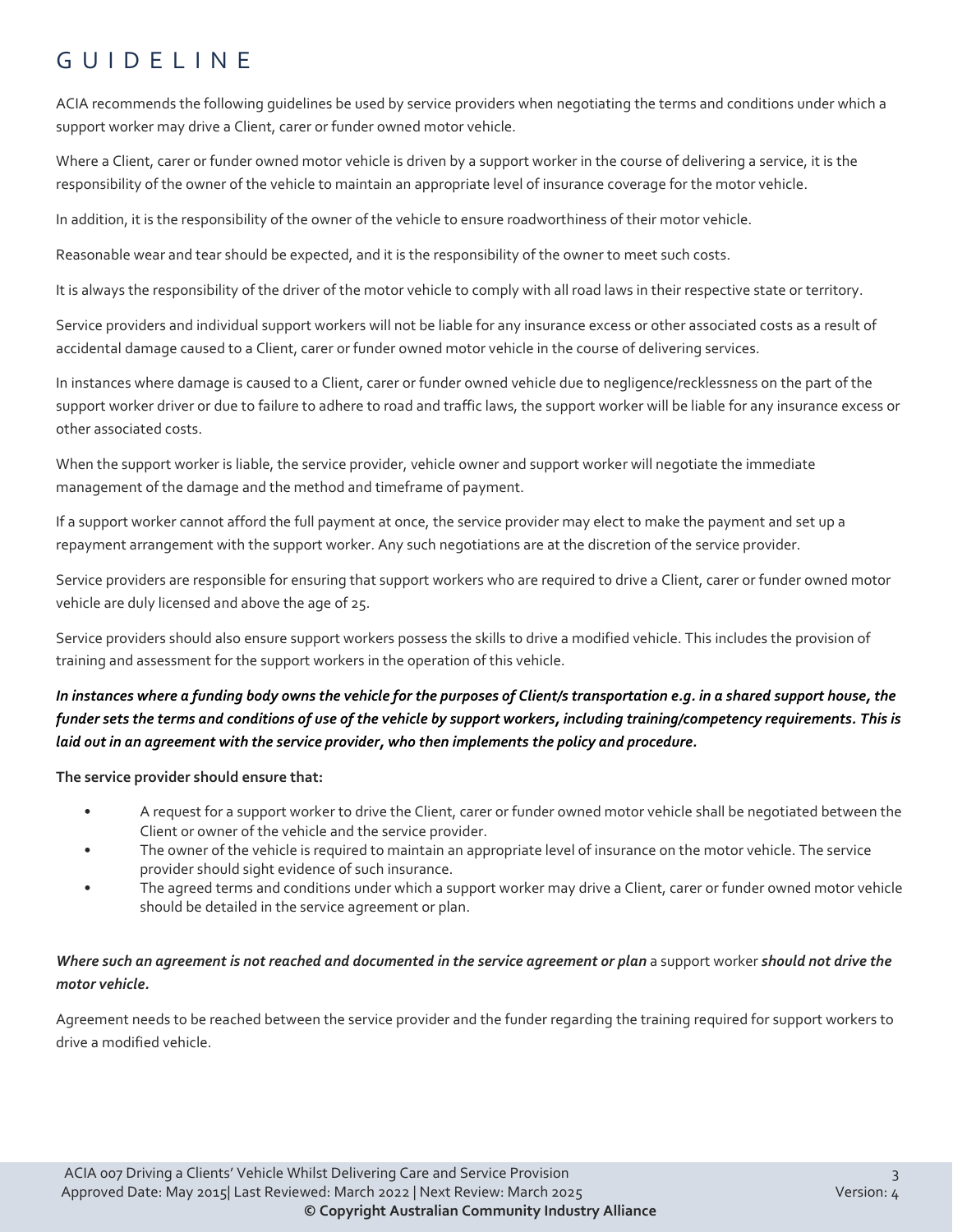## GUIDELINE

ACIA recommends the following guidelines be used by service providers when negotiating the terms and conditions under which a support worker may drive a Client, carer or funder owned motor vehicle.

Where a Client, carer or funder owned motor vehicle is driven by a support worker in the course of delivering a service, it is the responsibility of the owner of the vehicle to maintain an appropriate level of insurance coverage for the motor vehicle.

In addition, it is the responsibility of the owner of the vehicle to ensure roadworthiness of their motor vehicle.

Reasonable wear and tear should be expected, and it is the responsibility of the owner to meet such costs.

It is always the responsibility of the driver of the motor vehicle to comply with all road laws in their respective state or territory.

Service providers and individual support workers will not be liable for any insurance excess or other associated costs as a result of accidental damage caused to a Client, carer or funder owned motor vehicle in the course of delivering services.

In instances where damage is caused to a Client, carer or funder owned vehicle due to negligence/recklessness on the part of the support worker driver or due to failure to adhere to road and traffic laws, the support worker will be liable for any insurance excess or other associated costs.

When the support worker is liable, the service provider, vehicle owner and support worker will negotiate the immediate management of the damage and the method and timeframe of payment.

If a support worker cannot afford the full payment at once, the service provider may elect to make the payment and set up a repayment arrangement with the support worker. Any such negotiations are at the discretion of the service provider.

Service providers are responsible for ensuring that support workers who are required to drive a Client, carer or funder owned motor vehicle are duly licensed and above the age of 25.

Service providers should also ensure support workers possess the skills to drive a modified vehicle. This includes the provision of training and assessment for the support workers in the operation of this vehicle.

#### *In instances where a funding body owns the vehicle for the purposes of Client/s transportation e.g. in a shared support house, the funder sets the terms and conditions of use of the vehicle by support workers, including training/competency requirements. This is laid out in an agreement with the service provider, who then implements the policy and procedure.*

**The service provider should ensure that:**

- A request for a support worker to drive the Client, carer or funder owned motor vehicle shall be negotiated between the Client or owner of the vehicle and the service provider.
- The owner of the vehicle is required to maintain an appropriate level of insurance on the motor vehicle. The service provider should sight evidence of such insurance.
- The agreed terms and conditions under which a support worker may drive a Client, carer or funder owned motor vehicle should be detailed in the service agreement or plan.

#### *Where such an agreement is not reached and documented in the service agreement or plan* a support worker *should not drive the motor vehicle.*

Agreement needs to be reached between the service provider and the funder regarding the training required for support workers to drive a modified vehicle.